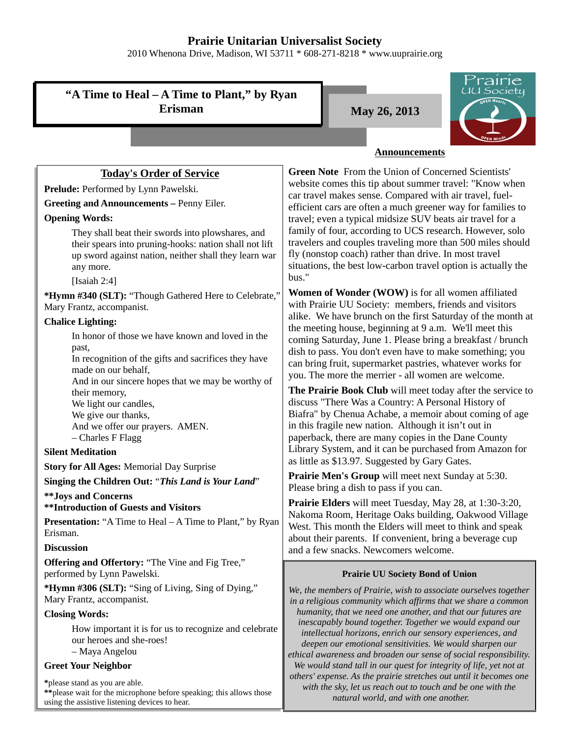# **Prairie Unitarian Universalist Society**

2010 Whenona Drive, Madison, WI 53711 \* 608-271-8218 \* www.uuprairie.org

**"A Time to Heal – A Time to Plant," by Ryan Erisman May 26, 2013** 



## **Announcements**

# **Today's Order of Service**

Prelude: Performed by Lynn Pawelski.

### **Greeting and Announcements –** Penny Eiler.

### **Opening Words:**

They shall beat their swords into plowshares, and their spears into pruning-hooks: nation shall not lift up sword against nation, neither shall they learn war any more.

[Isaiah 2:4]

**\*Hymn #340 (SLT):** "Though Gathered Here to Celebrate," Mary Frantz, accompanist.

### **Chalice Lighting:**

In honor of those we have known and loved in the past,

In recognition of the gifts and sacrifices they have made on our behalf,

And in our sincere hopes that we may be worthy of their memory,

We light our candles, We give our thanks,

And we offer our prayers. AMEN. – Charles F Flagg

### **Silent Meditation**

**Story for All Ages:** Memorial Day Surprise

**Singing the Children Out:** "*This Land is Your Land*"

**\*\*Joys and Concerns**

### **\*\*Introduction of Guests and Visitors**

**Presentation:** "A Time to Heal – A Time to Plant," by Ryan Erisman.

### **Discussion**

**Offering and Offertory:** "The Vine and Fig Tree," performed by Lynn Pawelski.

**\*Hymn #306 (SLT):** "Sing of Living, Sing of Dying," Mary Frantz, accompanist.

### **Closing Words:**

How important it is for us to recognize and celebrate our heroes and she-roes! – Maya Angelou

### **Greet Your Neighbor**

**\***please stand as you are able. **\*\***please wait for the microphone before speaking; this allows those using the assistive listening devices to hear.

**Green Note** From the Union of Concerned Scientists' website comes this tip about summer travel: "Know when car travel makes sense. Compared with air travel, fuelefficient cars are often a much greener way for families to travel; even a typical midsize SUV beats air travel for a family of four, according to UCS research. However, solo travelers and couples traveling more than 500 miles should fly (nonstop coach) rather than drive. In most travel situations, the best low-carbon travel option is actually the bus."

**Women of Wonder (WOW)** is for all women affiliated with Prairie UU Society: members, friends and visitors alike. We have brunch on the first Saturday of the month at the meeting house, beginning at 9 a.m. We'll meet this coming Saturday, June 1. Please bring a breakfast / brunch dish to pass. You don't even have to make something; you can bring fruit, supermarket pastries, whatever works for you. The more the merrier - all women are welcome.

**The Prairie Book Club** will meet today after the service to discuss "There Was a Country: A Personal History of Biafra" by Chenua Achabe, a memoir about coming of age in this fragile new nation. Although it isn't out in paperback, there are many copies in the Dane County Library System, and it can be purchased from Amazon for as little as \$13.97. Suggested by Gary Gates.

**Prairie Men's Group** will meet next Sunday at 5:30. Please bring a dish to pass if you can.

**Prairie Elders** will meet Tuesday, May 28, at 1:30-3:20, Nakoma Room, Heritage Oaks building, Oakwood Village West. This month the Elders will meet to think and speak about their parents. If convenient, bring a beverage cup and a few snacks. Newcomers welcome.

## **Prairie UU Society Bond of Union**

*We, the members of Prairie, wish to associate ourselves together in a religious community which affirms that we share a common humanity, that we need one another, and that our futures are inescapably bound together. Together we would expand our intellectual horizons, enrich our sensory experiences, and deepen our emotional sensitivities. We would sharpen our ethical awareness and broaden our sense of social responsibility. We would stand tall in our quest for integrity of life, yet not at others' expense. As the prairie stretches out until it becomes one with the sky, let us reach out to touch and be one with the natural world, and with one another.*